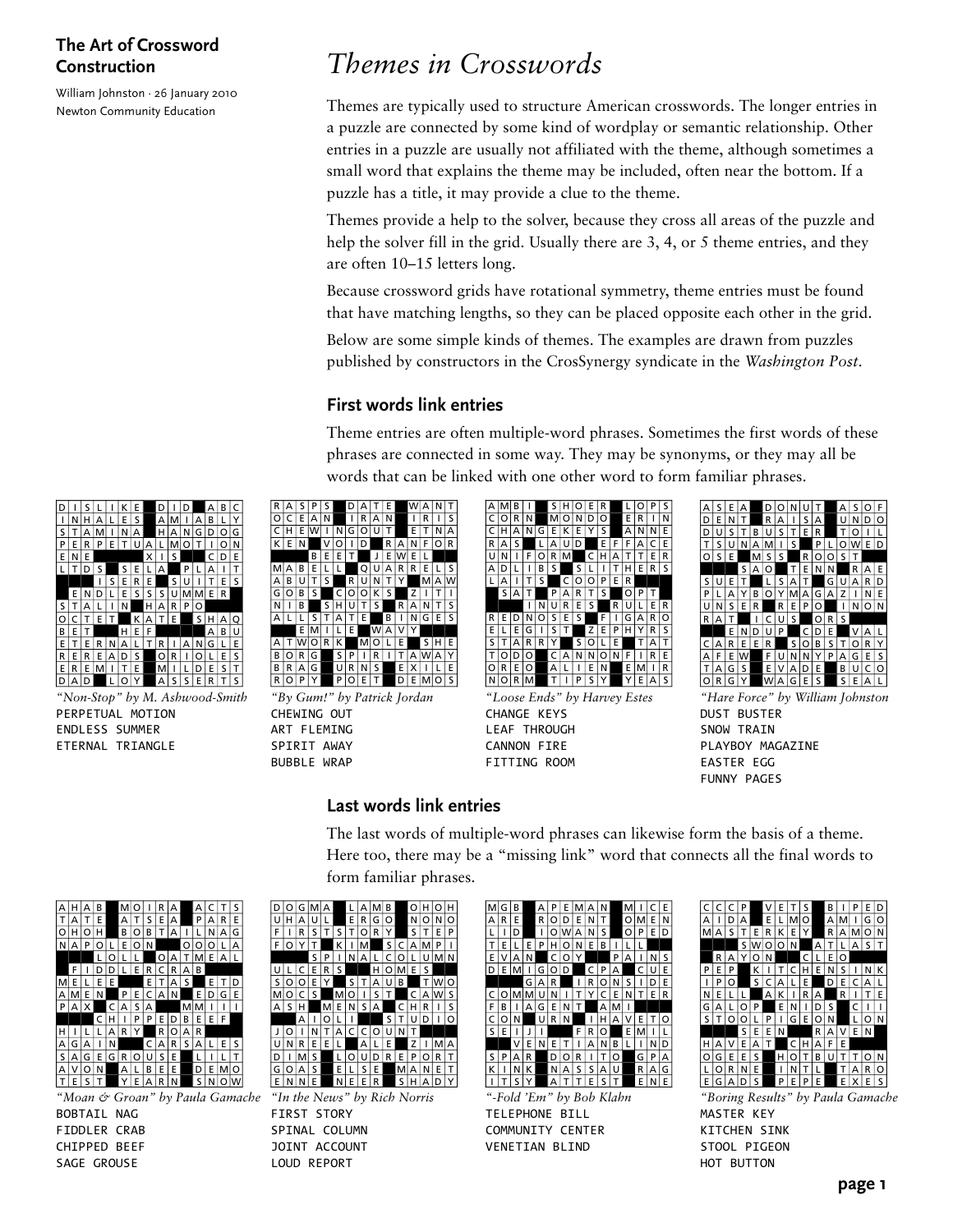William Johnston · 26 January 2010 Newton Community Education

# *Themes in Crosswords*

Themes are typically used to structure American crosswords. The longer entries in a puzzle are connected by some kind of wordplay or semantic relationship. Other entries in a puzzle are usually not affiliated with the theme, although sometimes a small word that explains the theme may be included, often near the bottom. If a puzzle has a title, it may provide a clue to the theme.

Themes provide a help to the solver, because they cross all areas of the puzzle and help the solver fill in the grid. Usually there are 3, 4, or 5 theme entries, and they are often 10–15 letters long.

Because crossword grids have rotational symmetry, theme entries must be found that have matching lengths, so they can be placed opposite each other in the grid.

Below are some simple kinds of themes. The examples are drawn from puzzles published by constructors in the CrosSynergy syndicate in the *Washington Post*.

### **First words link entries**

Theme entries are often multiple-word phrases. Sometimes the first words of these phrases are connected in some way. They may be synonyms, or they may all be words that can be linked with one other word to form familiar phrases.



*"Non-Stop" by M. Ashwood-Smith* PERPETUAL MOTION ENDLESS SUMMER ETERNAL TRIANGLE



*"By Gum!" by Patrick Jordan* CHEWING OUT ART FLEMING SPIRIT AWAY BUBBLE WRAP



*"Loose Ends" by Harvey Estes* CHANGE KEYS LEAF THROUGH CANNON FIRE FITTING ROOM



*"Hare Force" by William Johnston* DUST BUSTER SNOW TRAIN PLAYBOY MAGAZINE EASTER EGG FUNNY PAGES

**Last words link entries**

### The last words of multiple-word phrases can likewise form the basis of a theme. Here too, there may be a "missing link" word that connects all the final words to form familiar phrases.



*"Moan & Groan" by Paula Gamache* BOBTAIL NAG FIDDLER CRAB CHIPPED BEEF SAGE GROUSE



*"In the News" by Rich Norris* FIRST STORY SPINAL COLUMN JOINT ACCOUNT LOUD REPORT

| м | G | в |   | А | Р |          |   | Δ | N        |   | M |   | r | Е |
|---|---|---|---|---|---|----------|---|---|----------|---|---|---|---|---|
| А | R | E |   | R | Ω | D        | E | N | Т        |   | O | м | E | N |
| L |   | D |   | ۱ | ∩ | w        | А | N | S        |   | O | P | Е | D |
| т | E |   | E | P |   | $\Omega$ | Ν | E | в        | ı | L |   |   |   |
| E | V | А | N |   | C | O        | Y |   |          | P | А |   | Ν | S |
| D | E | M |   | G | O | D        |   | C | P        | А |   | C | U | E |
|   |   |   | G | А | R |          | ı | R | O        | N | Ś |   | D | E |
| C | ∩ | м | M | U | Ν | ı        | т | Y | c        | E | Ν |   | E | R |
| F | B | ı | А | G | E | N        | т |   | Д        | м | ı |   |   |   |
| C | O | Ν |   | Ü | R | N        |   | ı | н        | А | ν | E |   | O |
| S | E | ı | ı | ı |   |          | F | R | $\Omega$ |   | E | м | ı |   |
|   |   | V | E | Ν | F | т        | ı | А | Ν        | в | L | ı | Ν | D |
| s | P | А | R |   | D | റ        | R | ı | т        | O |   | G | P | А |
| K |   | N | K |   | Ν | А        | S | s | А        | U |   | R | А | G |
|   |   | S | Y |   | А |          |   | F | S        |   |   | E | Ν | Е |

*"-Fold 'Em" by Bob Klahn* TELEPHONE BILL COMMUNITY CENTER VENETIAN BLIND



*"Boring Results" by Paula Gamache* MASTER KEY KITCHEN SINK STOOL PIGEON HOT BUTTON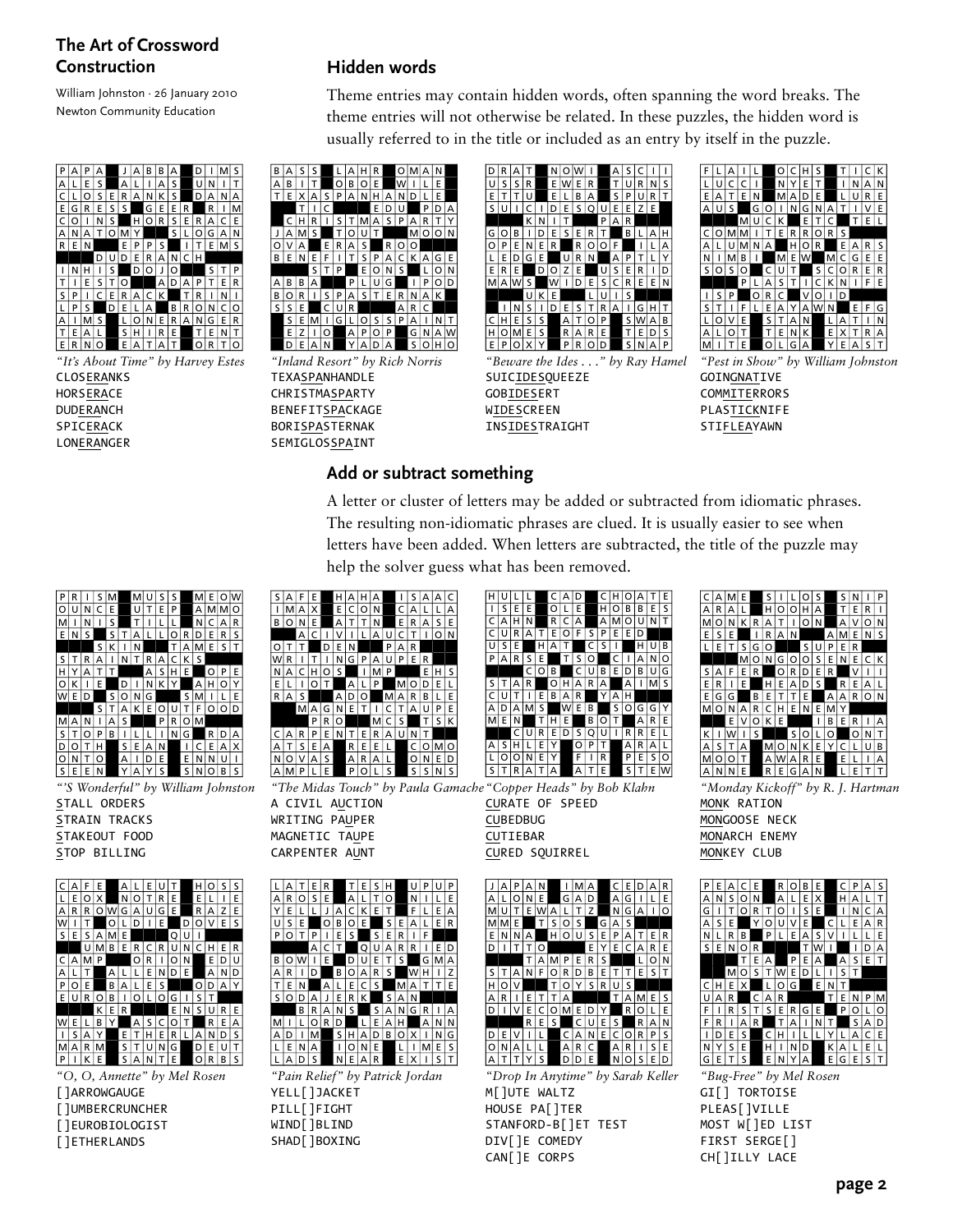William Johnston · 26 January 2010 Newton Community Education



*"It's About Time" by Harvey Estes* **CLOSERANKS HORSERACE DUDERANCH** SPICERACK **LONERANGER** 

### **Hidden words**

Theme entries may contain hidden words, often spanning the word breaks. The theme entries will not otherwise be related. In these puzzles, the hidden word is usually referred to in the title or included as an entry by itself in the puzzle.



*"Inland Resort" by Rich Norris* TEXASPANHANDLE CHRISTMASPARTY BENEFITSPACKAGE BORISPASTERNAK SEMIGLOSSPAINT



*"Beware the Ides . . ." by Ray Hamel* SUICIDESQUEEZE GOBIDESERT WIDESCREEN INSIDESTRAIGHT



*"Pest in Show" by William Johnston* **GOINGNATIVE COMMITERRORS** PLASTICKNIFE STIFLEAYAWN

#### **Add or subtract something**

A letter or cluster of letters may be added or subtracted from idiomatic phrases. The resulting non-idiomatic phrases are clued. It is usually easier to see when letters have been added. When letters are subtracted, the title of the puzzle may help the solver guess what has been removed.



*"'S Wonderful" by William Johnston* STALL ORDERS STRAIN TRACKS

STAKEOUT FOOD STOP BILLING



*"O, O, Annette" by Mel Rosen*

[]ARROWGAUGE

[]UMBERCRUNCHER []EUROBIOLOGIST

[]ETHERLANDS

 $I$  MAX ECON CALLA BONE ATTN ERASE AC I V I LAUC T I ON OTT DEN PAR WR I T I NG PAUPER<br>ELIOT ALP MOD EL<br>RAS ADO MAR BLE<br>MAGNETICTAUPE PRO MCS TSK CAR P ENT ERAUNT<br>A T S E A R E E L COMO REEL<br>ARAL<br>POLS NOVA S ARAL ONED  $A$  M P L E

 $S|A|F|E$   $H|A|H|A$   $I|S|A|A|C$ 

*"The Midas Touch" by Paula Gamache "Copper Heads" by Bob Klahn*

A CIVIL AUCTION WRITING PAUPER MAGNETIC TAUPE CARPENTER AUNT

|   | Δ |   | Е | R |   |   | Е | s |   |         |   | P | U | P |
|---|---|---|---|---|---|---|---|---|---|---------|---|---|---|---|
| А | R | O | S | Е |   | А | L | т | O |         | Ν |   | ı | Е |
| Y | Е | L |   | J | А | c | Κ | E | T |         | F | L | E | А |
| U | S | E |   | O | в | O | E |   | S | E       | А | ı | Ë | R |
| P | n | T | P | ı | E | s |   | s | E | R       | ı | F |   |   |
|   |   |   | А | c | т |   | Q | U | А | R       | R |   | E | D |
| в | ∩ | w |   | Е |   | n | U | E | T | S       |   | G | м | А |
| A | R | ı | D |   | в | O | А | R | s |         | w | н | ı | z |
| т | Е | Ν |   | А | L | E | c | s |   | м       | А | T | T | Е |
| s | O | D | А | J | Е | R | K |   | s | А       | N |   |   |   |
|   |   | в | R | А | Ν | S |   | S | А | Ν       | G | R | ı | A |
| м |   |   | റ | R | D |   |   | Е | А | н       |   | А | Ν | Ν |
| А | D | ı | м |   | s | н | А | D | В | $\circ$ | х | ı | Ν | G |
|   | Е | Ν | А |   | ı | O | N | Е |   | L       | ı | м | E | S |
|   | д | D | s |   | Ν | E | А | R |   | E       | x |   | S | т |

*"Pain Relief" by Patrick Jordan* YELL[]JACKET PILL[]FIGHT WIND[]BLIND SHAD[]BOXING



CURATE OF SPEED

M[]UTE WALTZ HOUSE PA[]TER STANFORD-B[]ET TEST DIV[]E COMEDY CAN[]E CORPS

*"Drop In Anytime" by Sarah Keller*

CUBEDBUG CUTIEBAR CURED SQUIRREL



*"Monday Kickoff" by R. J. Hartman* MONK RATION MONGOOSE NECK MONARCH ENEMY MONKEY CLUB

|                | А  | P |              |   |    |   |   | А |   |   | Е | D  | А | R | P | E  |   |   | E |   | R |   | в | Е |   |    | P |     |     |
|----------------|----|---|--------------|---|----|---|---|---|---|---|---|----|---|---|---|----|---|---|---|---|---|---|---|---|---|----|---|-----|-----|
| А              |    | o | N            | E |    | G | A | D |   |   | G |    |   | E | А | N  | s | O | N |   | А |   | Е | х |   | н  | А |     |     |
| VI             | U  |   | E            | w | А  |   |   | z |   | N | G | А  |   | O | G |    |   | O | R |   | O |   | s | Ε |   |    | N |     | А   |
| M              | ΙM | E |              |   | Ś  | O | s |   | G | А | S |    |   |   | A | s  | F |   |   | O | U |   | F |   |   |    | E | А   | R   |
| E              | ΝI | N | A            |   | н  | O | U | s | E | P | А |    | Е | R | Ν |    | R | В |   | P |   | Ε |   | s |   |    |   |     | Е   |
| D              |    |   |              | O |    |   |   | E |   | Е |   | А  | R | E | S | ΕI | N | o | R |   |   |   |   | w |   |    |   | D   | A   |
|                |    |   | т            | A | M  | P | E | R |   |   |   |    | o | N |   |    |   | т | E | А |   | P | E | A |   | A  | S | EIT |     |
| S              |    | А |              | F | O  | R | D | В | E |   |   | Е  | s | т |   |    | M | O | s |   | w | Е | D |   |   | s  |   |     |     |
| н              | O  |   |              |   |    | O | v | s | R | U | s |    |   |   |   | н  | E | х |   |   | o | G |   | E | N |    |   |     |     |
| $\overline{A}$ | R  |   | E            |   |    | A |   |   |   |   | А | MI | E | s |   | A  | R |   | C | А | R |   |   |   | т | E. | N | P   | M   |
| D              |    | V | E            |   | O  | M | Е | D |   |   | R | O  |   | E | F |    | R | s |   | s | E | R | G | E |   | P  | o |     | O   |
|                |    |   | $\mathsf{R}$ | E | S. |   |   |   | E | s |   | R  | Α | N | F | R  |   | А | R |   |   | А |   | N |   |    | S | А   | l D |
| D              | E  | ν |              |   |    | C | А | N | E |   | Ο | R  | P | S |   | D  | E | s |   | C | н |   |   |   |   |    | А |     | Ε   |
| O              | N  | А |              |   |    | A | R | C |   | A | R |    | s | E | N | Y  | s | Е |   | н |   | N | D |   | K | А  |   | E   |     |
| А              |    |   |              |   |    | D |   | E |   | N | Ο |    | Е | D | G | Ε  |   | s |   | E |   |   | А |   | E | G  | E |     |     |
|                |    |   |              |   |    |   |   |   |   |   |   |    |   |   |   |    |   |   |   |   |   |   |   |   |   |    |   |     |     |

*"Bug-Free" by Mel Rosen* GI[] TORTOISE PLEAS[]VILLE MOST W[]ED LIST FIRST SERGE[] CH[]ILLY LACE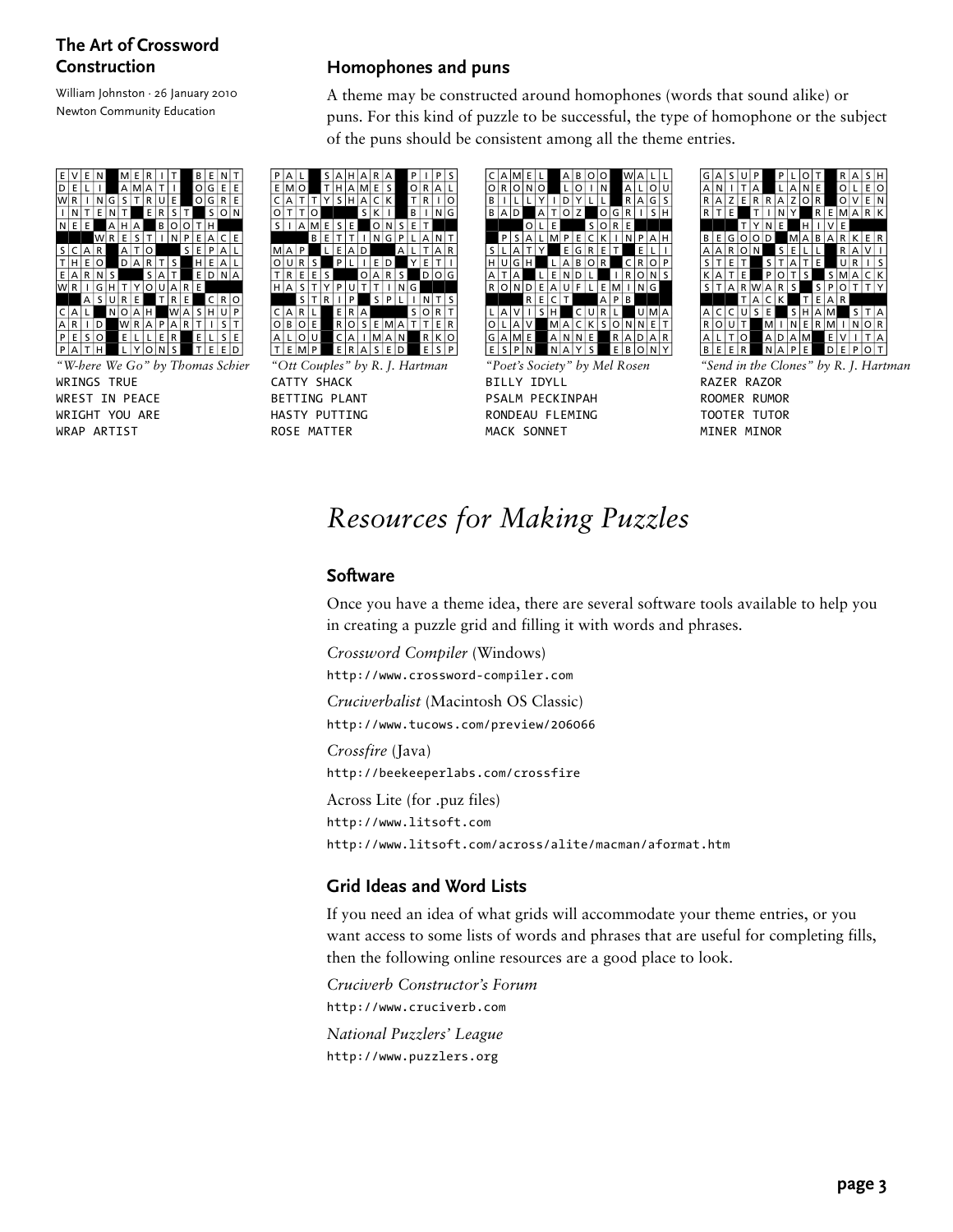William Johnston · 26 January 2010 Newton Community Education



*"W-here We Go" by Thomas Schier* WRINGS TRUE WREST IN PEACE WRIGHT YOU ARE WRAP ARTIST

#### **Homophones and puns**

A theme may be constructed around homophones (words that sound alike) or puns. For this kind of puzzle to be successful, the type of homophone or the subject of the puns should be consistent among all the theme entries.



*"Ott Couples" by R. J. Hartman* CATTY SHACK BETTING PLANT HASTY PUTTING ROSE MATTER



*"Poet's Society" by Mel Rosen* BILLY IDYLL PSALM PECKINPAH RONDEAU FLEMING MACK SONNET



*"Send in the Clones" by R. J. Hartman* RAZER RAZOR ROOMER RUMOR TOOTER TUTOR MINER MINOR

# *Resources for Making Puzzles*

#### **Software**

Once you have a theme idea, there are several software tools available to help you in creating a puzzle grid and filling it with words and phrases.

*Crossword Compiler* (Windows) http://www.crossword-compiler.com *Cruciverbalist* (Macintosh OS Classic) http://www.tucows.com/preview/206066 *Crossfire* (Java) http://beekeeperlabs.com/crossfire Across Lite (for .puz files) http://www.litsoft.com http://www.litsoft.com/across/alite/macman/aformat.htm

#### **Grid Ideas and Word Lists**

If you need an idea of what grids will accommodate your theme entries, or you want access to some lists of words and phrases that are useful for completing fills, then the following online resources are a good place to look.

*Cruciverb Constructor's Forum* http://www.cruciverb.com *National Puzzlers' League* http://www.puzzlers.org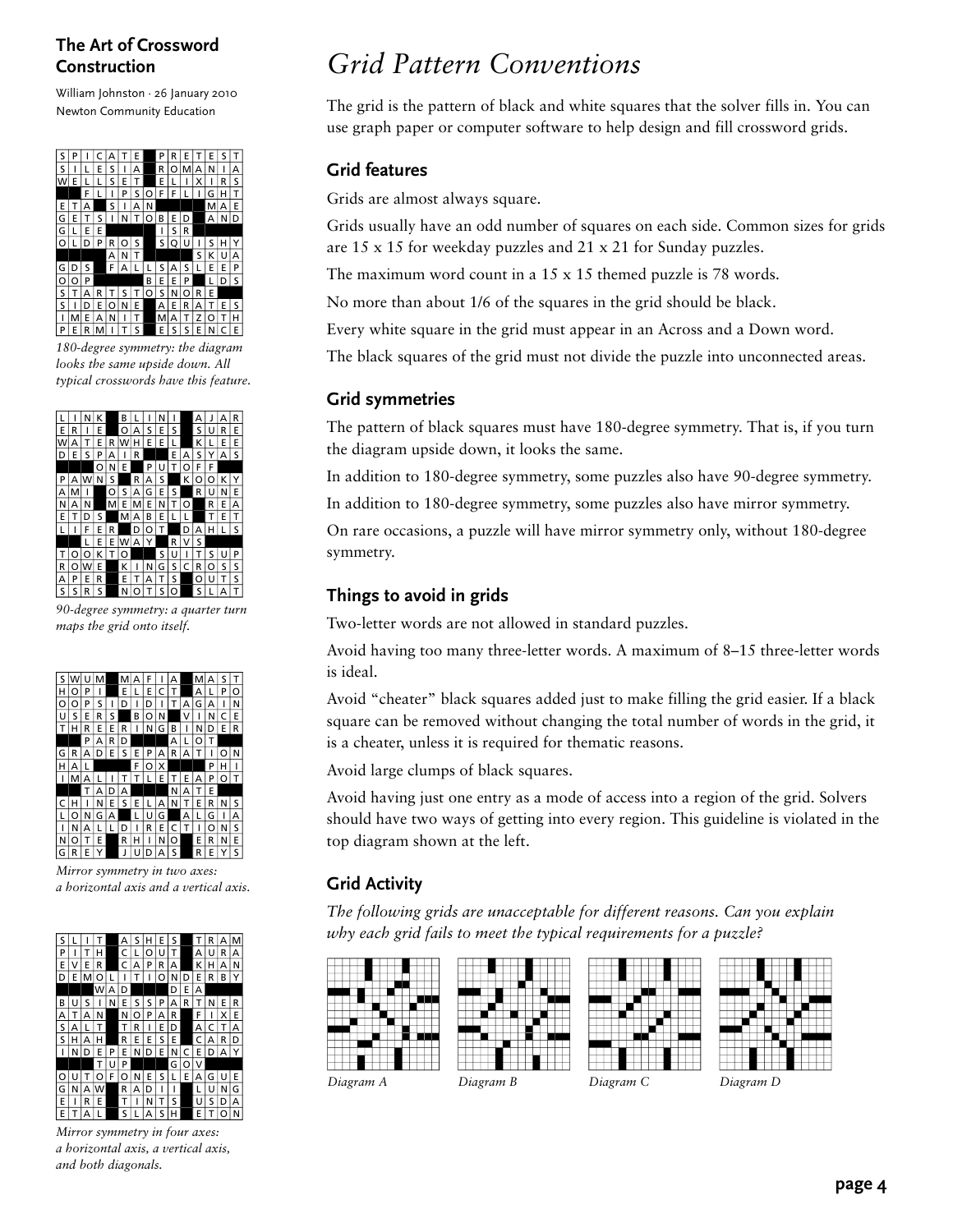William Johnston · 26 January 2010 Newton Community Education



*180-degree symmetry: the diagram looks the same upside down. All typical crosswords have this feature.*

|   |   | Ν | ĸ |   | R |   |   | N |   |   | А |   | д | R |
|---|---|---|---|---|---|---|---|---|---|---|---|---|---|---|
| E | R | ı | E |   | O | А | S | E | S |   | S | Ü | R | E |
| w | А | T | E | R | W | н | E | Е |   |   | K |   | E | E |
| D | E | S | P | А | ı | R |   |   | E | А | S | Y | А | S |
|   |   |   | O | N | E |   | P | U | т | O | F | F |   |   |
| P | д | w | N | S |   | R | А | S |   | ĸ | റ | Ο | ĸ | Y |
| А | M |   |   | O | S | А | G | E | S |   | R | Ü | N | E |
| N | А | N |   | м | Е | M | E | N | т | O |   | R | E | A |
| E | T | D | S |   | м | А | в | E | L |   |   | т | E | т |
|   | ı | F | E | R |   | D | O | т |   | D | A |   |   | S |
|   |   | L | E | Е | W | А | Y |   | R | ٧ | S |   |   |   |
|   |   | O | ĸ | Т | O |   |   | S | Ü | ı | T | Ś | U | P |
| R | റ | W | E |   | K | ı | N | G | Ś | C | R | റ | s | S |
| А | P | E | R |   | Ë | т | А | т | Ś |   | O | Ū | т | S |
| S | s | R | s |   | Ν | O |   | s | റ |   | Ś |   | А | т |
|   |   |   |   |   |   |   |   |   |   |   |   |   |   |   |

*90-degree symmetry: a quarter turn maps the grid onto itself.*

| s |   |   |   |   | м |   |   |   | д |   |   | д | s |   |
|---|---|---|---|---|---|---|---|---|---|---|---|---|---|---|
| н | Ω | P |   |   | E |   | E | Ċ | т |   | A |   | P | ი |
| O | ი | P | s |   | D |   | D |   | т | А | G | А | ı | Ν |
| Ü | S | E | R | s |   | в | O | Ν |   | V | ı | Ν | C | Е |
| т | н | R | E | E | R |   | Ν | G | в | ı | N | D | Е | R |
|   |   | P | А | R | D |   |   |   | A | L | O | T |   |   |
| G | R | А | D | E | S | E | P | А | R | A | т | ı | റ | N |
| н | А | L |   |   |   | F | O | x |   |   |   | P | н | ı |
| ı | м | А | L |   | Т | т | L | Е | T | E | Α | P | Ω | т |
|   |   | т | А | D | А |   |   |   | Ν | А | Т | E |   |   |
| C |   | ı | N | E | s | E |   | А | N | т | E | R | N | S |
| L | ი | N | G | А |   |   | U | G |   | А | L | G | ı | А |
|   | N | А | L |   | D |   | R | E | C | т | ı | ∩ | N | S |
| Ν | ი | т | E |   | R | н | ı | N | O |   | E | R | N | E |
| G | R | E |   |   | J | U | D | А | S |   | R | Ë | Y | S |

*Mirror symmetry in two axes: a horizontal axis and a vertical axis.*



*Mirror symmetry in four axes: a horizontal axis, a vertical axis, and both diagonals.*

# *Grid Pattern Conventions*

The grid is the pattern of black and white squares that the solver fills in. You can use graph paper or computer software to help design and fill crossword grids.

## **Grid features**

Grids are almost always square.

Grids usually have an odd number of squares on each side. Common sizes for grids are 15 x 15 for weekday puzzles and 21 x 21 for Sunday puzzles.

The maximum word count in a 15 x 15 themed puzzle is 78 words.

No more than about 1/6 of the squares in the grid should be black.

Every white square in the grid must appear in an Across and a Down word.

The black squares of the grid must not divide the puzzle into unconnected areas.

### **Grid symmetries**

The pattern of black squares must have 180-degree symmetry. That is, if you turn the diagram upside down, it looks the same.

In addition to 180-degree symmetry, some puzzles also have 90-degree symmetry.

In addition to 180-degree symmetry, some puzzles also have mirror symmetry.

On rare occasions, a puzzle will have mirror symmetry only, without 180-degree symmetry.

## **Things to avoid in grids**

Two-letter words are not allowed in standard puzzles.

Avoid having too many three-letter words. A maximum of 8–15 three-letter words is ideal.

Avoid "cheater" black squares added just to make filling the grid easier. If a black square can be removed without changing the total number of words in the grid, it is a cheater, unless it is required for thematic reasons.

Avoid large clumps of black squares.

Avoid having just one entry as a mode of access into a region of the grid. Solvers should have two ways of getting into every region. This guideline is violated in the top diagram shown at the left.

## **Grid Activity**

*The following grids are unacceptable for different reasons. Can you explain why each grid fails to meet the typical requirements for a puzzle?*

l









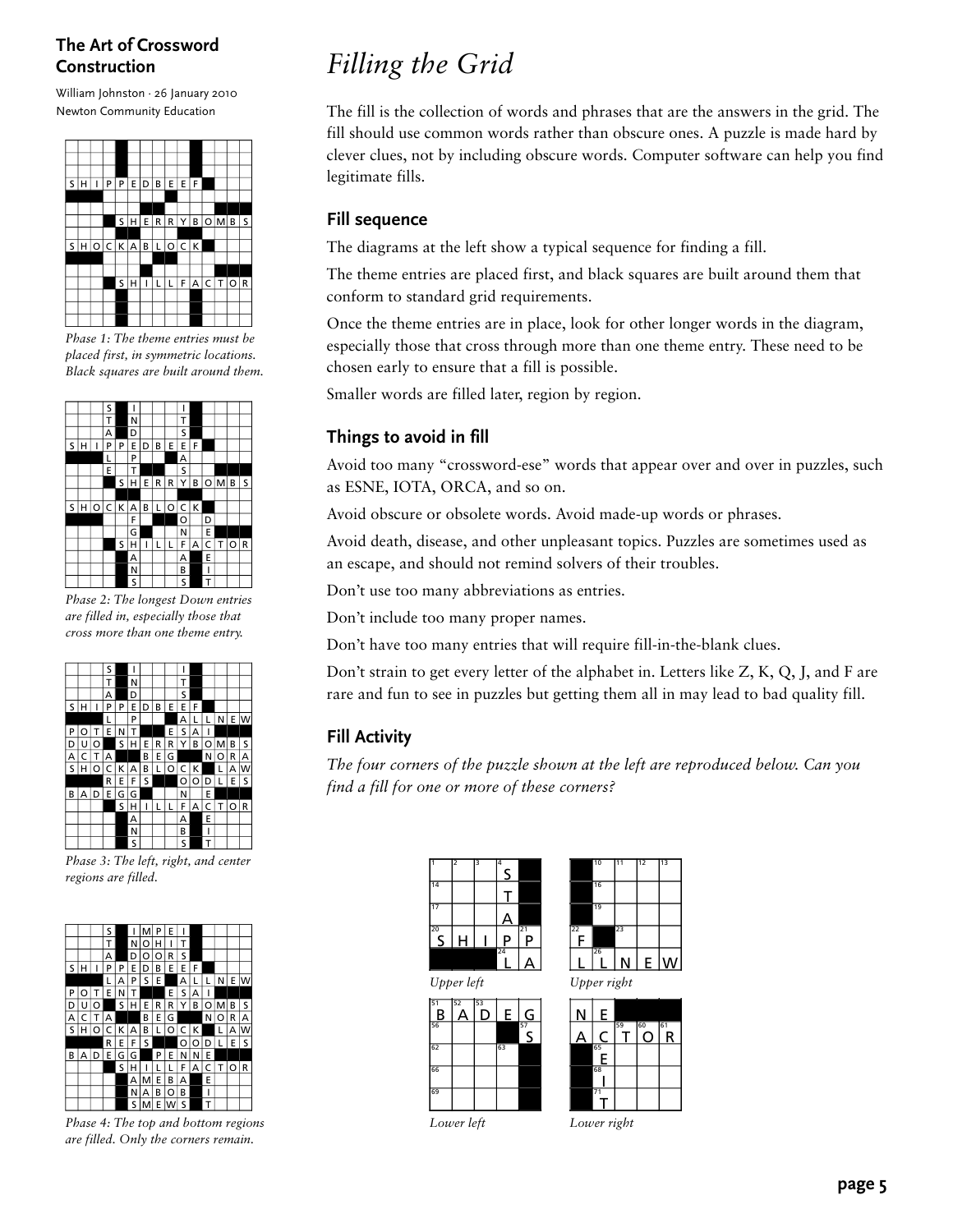William Johnston · 26 January 2010 Newton Community Education



*Phase 1: The theme entries must be placed first, in symmetric locations. Black squares are built around them.*



*Phase 2: The longest Down entries are filled in, especially those that cross more than one theme entry.*



*Phase 3: The left, right, and center regions are filled.*

|   |   |   | s |   |   |   | P       | F |   |   |         |   |    |    |
|---|---|---|---|---|---|---|---------|---|---|---|---------|---|----|----|
|   |   |   | Т |   | N | o | н       | ı | т |   |         |   |    |    |
|   |   |   | А |   | D | O | $\circ$ | R | S |   |         |   |    |    |
| s | н |   | P | P | E | D | в       | E | E | F |         |   |    |    |
|   |   |   | L | А | P | S | E       |   | А | L | ı       | Ν | E. | lw |
| P | റ | т | E | N | т |   |         | E | s | A |         |   |    |    |
| D | Ü | O |   | S | н | E | R       | R | Y | в | $\circ$ | м | в  | S  |
| А | C | Т | А |   |   | В | E       | G |   |   | N       | o | R  | А  |
| S | н | O | C | K | А | B | L       | O | c | K |         | L | А  | W  |
|   |   |   | R | E | F | S |         |   | O | O | D       | L | E  | s  |
| в | А | D | E | G | G |   | P       | E | N | N | Е       |   |    |    |
|   |   |   |   | s | н | ı | L       |   | F | A | C       |   | Ω  | R  |
|   |   |   |   |   | А | м | E       | B | А |   | E       |   |    |    |
|   |   |   |   |   | Ν | А | в       | O | B |   | ۱       |   |    |    |
|   |   |   |   |   | S | м | Е       | w | S |   | Т       |   |    |    |

*Phase 4: The top and bottom regions are filled. Only the corners remain.*

# *Filling the Grid*

The fill is the collection of words and phrases that are the answers in the grid. The fill should use common words rather than obscure ones. A puzzle is made hard by clever clues, not by including obscure words. Computer software can help you find legitimate fills.

### **Fill sequence**

The diagrams at the left show a typical sequence for finding a fill.

The theme entries are placed first, and black squares are built around them that conform to standard grid requirements.

Once the theme entries are in place, look for other longer words in the diagram, especially those that cross through more than one theme entry. These need to be chosen early to ensure that a fill is possible.

Smaller words are filled later, region by region.

## **Things to avoid in fill**

Avoid too many "crossword-ese" words that appear over and over in puzzles, such as ESNE, IOTA, ORCA, and so on.

Avoid obscure or obsolete words. Avoid made-up words or phrases.

Avoid death, disease, and other unpleasant topics. Puzzles are sometimes used as an escape, and should not remind solvers of their troubles.

Don't use too many abbreviations as entries.

Don't include too many proper names.

Don't have too many entries that will require fill-in-the-blank clues.

Don't strain to get every letter of the alphabet in. Letters like Z, K, Q, J, and F are rare and fun to see in puzzles but getting them all in may lead to bad quality fill.

## **Fill Activity**

*The four corners of the puzzle shown at the left are reproduced below. Can you find a fill for one or more of these corners?*

|                 | 2 | 3 | 4<br>S |         |
|-----------------|---|---|--------|---------|
| $\overline{14}$ |   |   |        |         |
| 17              |   |   |        |         |
| $\overline{5}$  | н |   | Ρ      | 21<br>P |
|                 |   |   | 24     |         |

|                      | 26 |    |    |    |
|----------------------|----|----|----|----|
| $\overline{22}$<br>Ξ |    | 23 |    |    |
|                      | 19 |    |    |    |
|                      | 16 |    |    |    |
|                      | 10 | 11 | 12 | 13 |

*Upper left Upper right*

| 51<br>$\frac{B}{\frac{56}{}}$ | 52<br>А | 53 | E  | G             |
|-------------------------------|---------|----|----|---------------|
|                               |         |    |    | $\frac{1}{2}$ |
| 62                            |         |    | 63 |               |
| 66                            |         |    |    |               |
| 69                            |         |    |    |               |

<u>N | E</u> 60

|   | E       |    |    |         |
|---|---------|----|----|---------|
| Δ |         | 59 | 60 | 61<br>R |
|   | 65<br>E |    |    |         |
|   | 68      |    |    |         |
|   |         |    |    |         |

*Lower left*

*Lower right*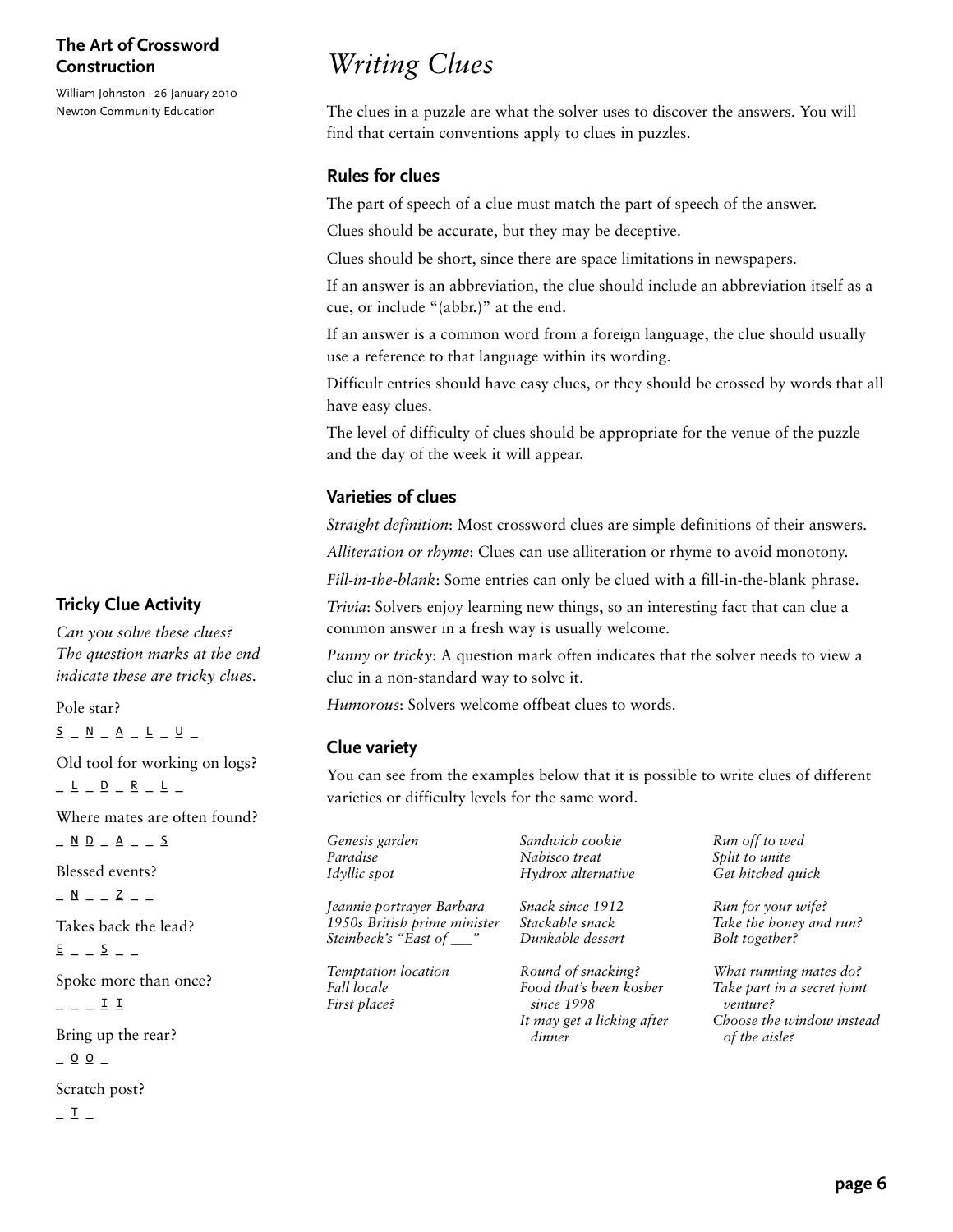William Johnston · 26 January 2010 Newton Community Education

# *Writing Clues*

The clues in a puzzle are what the solver uses to discover the answers. You will find that certain conventions apply to clues in puzzles.

#### **Rules for clues**

The part of speech of a clue must match the part of speech of the answer.

Clues should be accurate, but they may be deceptive.

Clues should be short, since there are space limitations in newspapers.

If an answer is an abbreviation, the clue should include an abbreviation itself as a cue, or include "(abbr.)" at the end.

If an answer is a common word from a foreign language, the clue should usually use a reference to that language within its wording.

Difficult entries should have easy clues, or they should be crossed by words that all have easy clues.

The level of difficulty of clues should be appropriate for the venue of the puzzle and the day of the week it will appear.

### **Varieties of clues**

*Straight definition*: Most crossword clues are simple definitions of their answers.

*Alliteration or rhyme*: Clues can use alliteration or rhyme to avoid monotony.

*Fill-in-the-blank*: Some entries can only be clued with a fill-in-the-blank phrase.

*Trivia*: Solvers enjoy learning new things, so an interesting fact that can clue a common answer in a fresh way is usually welcome.

*Punny or tricky*: A question mark often indicates that the solver needs to view a clue in a non-standard way to solve it.

*Humorous*: Solvers welcome offbeat clues to words.

#### **Clue variety**

You can see from the examples below that it is possible to write clues of different varieties or difficulty levels for the same word.

| Genesis garden                                     | Sandwich cookie                                                                                     | Run off to wed                                                                                                  |
|----------------------------------------------------|-----------------------------------------------------------------------------------------------------|-----------------------------------------------------------------------------------------------------------------|
| Paradise                                           | Nabisco treat                                                                                       | Split to unite                                                                                                  |
| Idyllic spot                                       | Hydrox alternative                                                                                  | Get hitched quick                                                                                               |
| Jeannie portrayer Barbara                          | Snack since 1912                                                                                    | Run for your wife?                                                                                              |
| 1950s British prime minister                       | Stackable snack                                                                                     | Take the honey and run?                                                                                         |
| Steinbeck's "East of __"                           | Dunkable dessert                                                                                    | Bolt together?                                                                                                  |
| Temptation location<br>Fall locale<br>First place? | Round of snacking?<br>Food that's been kosher<br>since 1998<br>It may get a licking after<br>dinner | What running mates do?<br>Take part in a secret joint<br>venture?<br>Choose the window instead<br>of the aisle? |

**Tricky Clue Activity**

*Can you solve these clues? The question marks at the end indicate these are tricky clues.*

Pole star?  $\underline{\mathsf{S}}\ \_\ \underline{\mathsf{N}}\ \_\underline{\mathsf{A}}\ \_\underline{\mathsf{L}}\ \_\underline{\mathsf{U}}\ \_\underline{\mathsf{U}}\ \_\underline{\mathsf{V}}$ Old tool for working on logs?  $L = L - D - R - L -$ Where mates are often found?  $\underline{\wedge} \underline{\wedge} \underline{\wedge} = \underline{\wedge} \underline{\wedge} = \underline{\wedge}$ Blessed events?  $\frac{N}{r}$   $\frac{N}{r}$   $\frac{N}{r}$   $\frac{N}{r}$   $\frac{N}{r}$   $\frac{N}{r}$   $\frac{N}{r}$   $\frac{N}{r}$   $\frac{N}{r}$   $\frac{N}{r}$ Takes back the lead?  $E$   $S$   $-$ Spoke more than once?

 $\overline{1}$   $\overline{1}$ 

Bring up the rear?  $0$   $0$   $-$ Scratch post?

 $I -$